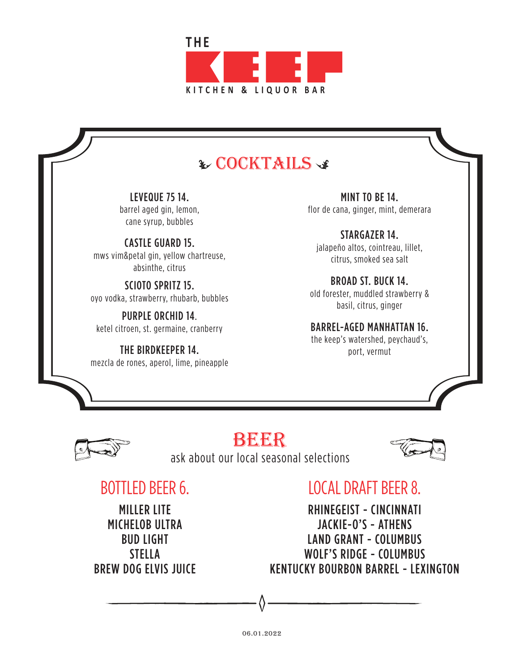

## **& COCKTAILS &**

LEVEQUE 75 14. barrel aged gin, lemon, cane syrup, bubbles

CASTLE GUARD 15. mws vim&petal gin, yellow chartreuse, absinthe, citrus

SCIOTO SPRITZ 15. oyo vodka, strawberry, rhubarb, bubbles

PURPLE ORCHID 14. ketel citroen, st. germaine, cranberry

THE BIRDKEEPER 14. mezcla de rones, aperol, lime, pineapple

MINT TO BE 14. flor de cana, ginger, mint, demerara

STARGAZER 14. jalapeño altos, cointreau, lillet, citrus, smoked sea salt

BROAD ST. BUCK 14. old forester, muddled strawberry & basil, citrus, ginger

BARREL-AGED MANHATTAN 16.

the keep's watershed, peychaud's, port, vermut



# beer

ask about our local seasonal selections



# BOTTLED BEER 6.

MILLER LITE MICHELOB ULTRA BUD LIGHT STELLA BREW DOG ELVIS JUICE

# LOCAL DRAFT BEER 8.

RHINEGEIST - CINCINNATI JACKIE-O'S - ATHENS LAND GRANT - COLUMBUS WOLF'S RIDGE - COLUMBUS KENTUCKY BOURBON BARREL - LEXINGTON